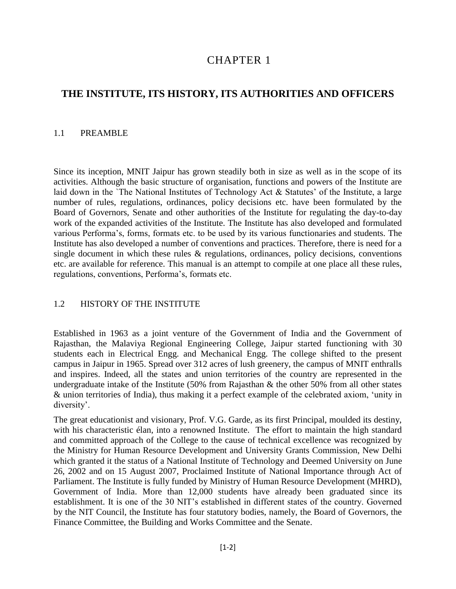# 1 CHAPTER 1

# **THE INSTITUTE, ITS HISTORY, ITS AUTHORITIES AND OFFICERS**

#### 1.1 PREAMBLE

Since its inception, MNIT Jaipur has grown steadily both in size as well as in the scope of its activities. Although the basic structure of organisation, functions and powers of the Institute are laid down in the `The National Institutes of Technology Act & Statutes' of the Institute, a large number of rules, regulations, ordinances, policy decisions etc. have been formulated by the Board of Governors, Senate and other authorities of the Institute for regulating the day-to-day work of the expanded activities of the Institute. The Institute has also developed and formulated various Performa's, forms, formats etc. to be used by its various functionaries and students. The Institute has also developed a number of conventions and practices. Therefore, there is need for a single document in which these rules & regulations, ordinances, policy decisions, conventions etc. are available for reference. This manual is an attempt to compile at one place all these rules, regulations, conventions, Performa's, formats etc.

#### 1.2 HISTORY OF THE INSTITUTE

Established in 1963 as a joint venture of the Government of India and the Government of Rajasthan, the Malaviya Regional Engineering College, Jaipur started functioning with 30 students each in Electrical Engg. and Mechanical Engg. The college shifted to the present campus in Jaipur in 1965. Spread over 312 acres of lush greenery, the campus of MNIT enthralls and inspires. Indeed, all the states and union territories of the country are represented in the undergraduate intake of the Institute (50% from Rajasthan & the other 50% from all other states & union territories of India), thus making it a perfect example of the celebrated axiom, 'unity in diversity'.

The great educationist and visionary, Prof. V.G. Garde, as its first Principal, moulded its destiny, with his characteristic élan, into a renowned Institute. The effort to maintain the high standard and committed approach of the College to the cause of technical excellence was recognized by the Ministry for Human Resource Development and University Grants Commission, New Delhi which granted it the status of a National Institute of Technology and Deemed University on June 26, 2002 and on 15 August 2007, Proclaimed Institute of National Importance through Act of Parliament. The Institute is fully funded by Ministry of Human Resource Development (MHRD), Government of India. More than 12,000 students have already been graduated since its establishment. It is one of the 30 NIT's established in different states of the country. Governed by the NIT Council, the Institute has four statutory bodies, namely, the Board of Governors, the Finance Committee, the Building and Works Committee and the Senate.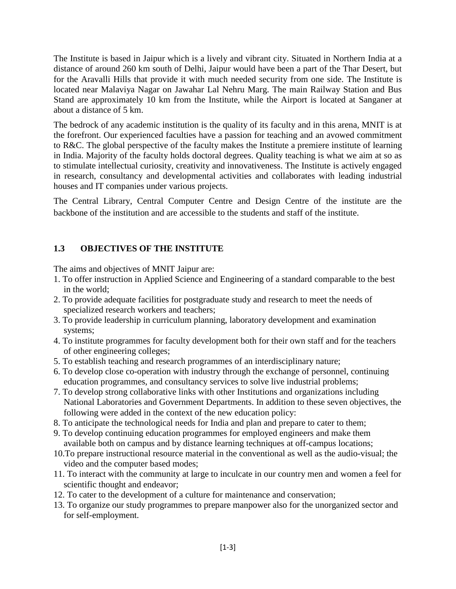The Institute is based in Jaipur which is a lively and vibrant city. Situated in Northern India at a distance of around 260 km south of Delhi, Jaipur would have been a part of the Thar Desert, but for the Aravalli Hills that provide it with much needed security from one side. The Institute is located near Malaviya Nagar on Jawahar Lal Nehru Marg. The main Railway Station and Bus Stand are approximately 10 km from the Institute, while the Airport is located at Sanganer at about a distance of 5 km.

The bedrock of any academic institution is the quality of its faculty and in this arena, MNIT is at the forefront. Our experienced faculties have a passion for teaching and an avowed commitment to R&C. The global perspective of the faculty makes the Institute a premiere institute of learning in India. Majority of the faculty holds doctoral degrees. Quality teaching is what we aim at so as to stimulate intellectual curiosity, creativity and innovativeness. The Institute is actively engaged in research, consultancy and developmental activities and collaborates with leading industrial houses and IT companies under various projects.

The Central Library, Central Computer Centre and Design Centre of the institute are the backbone of the institution and are accessible to the students and staff of the institute.

### **1.3 OBJECTIVES OF THE INSTITUTE**

The aims and objectives of MNIT Jaipur are:

- 1. To offer instruction in Applied Science and Engineering of a standard comparable to the best in the world;
- 2. To provide adequate facilities for postgraduate study and research to meet the needs of specialized research workers and teachers;
- 3. To provide leadership in curriculum planning, laboratory development and examination systems;
- 4. To institute programmes for faculty development both for their own staff and for the teachers of other engineering colleges;
- 5. To establish teaching and research programmes of an interdisciplinary nature;
- 6. To develop close co-operation with industry through the exchange of personnel, continuing education programmes, and consultancy services to solve live industrial problems;
- 7. To develop strong collaborative links with other Institutions and organizations including National Laboratories and Government Departments. In addition to these seven objectives, the following were added in the context of the new education policy:
- 8. To anticipate the technological needs for India and plan and prepare to cater to them;
- 9. To develop continuing education programmes for employed engineers and make them available both on campus and by distance learning techniques at off-campus locations;
- 10.To prepare instructional resource material in the conventional as well as the audio-visual; the video and the computer based modes;
- 11. To interact with the community at large to inculcate in our country men and women a feel for scientific thought and endeavor;
- 12. To cater to the development of a culture for maintenance and conservation;
- 13. To organize our study programmes to prepare manpower also for the unorganized sector and for self-employment.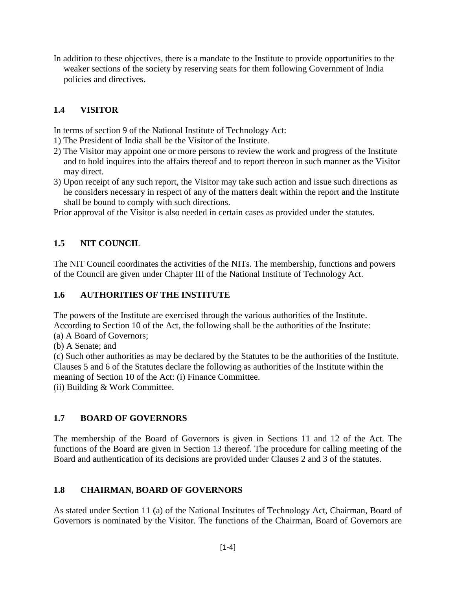In addition to these objectives, there is a mandate to the Institute to provide opportunities to the weaker sections of the society by reserving seats for them following Government of India policies and directives.

## **1.4 VISITOR**

In terms of section 9 of the National Institute of Technology Act:

- 1) The President of India shall be the Visitor of the Institute.
- 2) The Visitor may appoint one or more persons to review the work and progress of the Institute and to hold inquires into the affairs thereof and to report thereon in such manner as the Visitor may direct.
- 3) Upon receipt of any such report, the Visitor may take such action and issue such directions as he considers necessary in respect of any of the matters dealt within the report and the Institute shall be bound to comply with such directions.

Prior approval of the Visitor is also needed in certain cases as provided under the statutes.

### **1.5 NIT COUNCIL**

The NIT Council coordinates the activities of the NITs. The membership, functions and powers of the Council are given under Chapter III of the National Institute of Technology Act.

### **1.6 AUTHORITIES OF THE INSTITUTE**

The powers of the Institute are exercised through the various authorities of the Institute. According to Section 10 of the Act, the following shall be the authorities of the Institute:

(a) A Board of Governors;

(b) A Senate; and

(c) Such other authorities as may be declared by the Statutes to be the authorities of the Institute. Clauses 5 and 6 of the Statutes declare the following as authorities of the Institute within the meaning of Section 10 of the Act: (i) Finance Committee.

(ii) Building & Work Committee.

### **1.7 BOARD OF GOVERNORS**

The membership of the Board of Governors is given in Sections 11 and 12 of the Act. The functions of the Board are given in Section 13 thereof. The procedure for calling meeting of the Board and authentication of its decisions are provided under Clauses 2 and 3 of the statutes.

### **1.8 CHAIRMAN, BOARD OF GOVERNORS**

As stated under Section 11 (a) of the National Institutes of Technology Act, Chairman, Board of Governors is nominated by the Visitor. The functions of the Chairman, Board of Governors are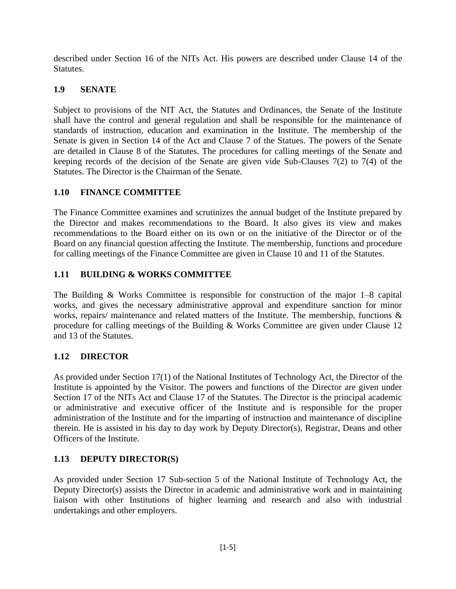described under Section 16 of the NITs Act. His powers are described under Clause 14 of the Statutes.

## **1.9 SENATE**

Subject to provisions of the NIT Act, the Statutes and Ordinances, the Senate of the Institute shall have the control and general regulation and shall be responsible for the maintenance of standards of instruction, education and examination in the Institute. The membership of the Senate is given in Section 14 of the Act and Clause 7 of the Statues. The powers of the Senate are detailed in Clause 8 of the Statutes. The procedures for calling meetings of the Senate and keeping records of the decision of the Senate are given vide Sub-Clauses 7(2) to 7(4) of the Statutes. The Director is the Chairman of the Senate.

# **1.10 FINANCE COMMITTEE**

The Finance Committee examines and scrutinizes the annual budget of the Institute prepared by the Director and makes recommendations to the Board. It also gives its view and makes recommendations to the Board either on its own or on the initiative of the Director or of the Board on any financial question affecting the Institute. The membership, functions and procedure for calling meetings of the Finance Committee are given in Clause 10 and 11 of the Statutes.

# **1.11 BUILDING & WORKS COMMITTEE**

The Building & Works Committee is responsible for construction of the major 1–8 capital works, and gives the necessary administrative approval and expenditure sanction for minor works, repairs/ maintenance and related matters of the Institute. The membership, functions & procedure for calling meetings of the Building & Works Committee are given under Clause 12 and 13 of the Statutes.

### **1.12 DIRECTOR**

As provided under Section 17(1) of the National Institutes of Technology Act, the Director of the Institute is appointed by the Visitor. The powers and functions of the Director are given under Section 17 of the NITs Act and Clause 17 of the Statutes. The Director is the principal academic or administrative and executive officer of the Institute and is responsible for the proper administration of the Institute and for the imparting of instruction and maintenance of discipline therein. He is assisted in his day to day work by Deputy Director(s), Registrar, Deans and other Officers of the Institute.

### **1.13 DEPUTY DIRECTOR(S)**

As provided under Section 17 Sub-section 5 of the National Institute of Technology Act, the Deputy Director(s) assists the Director in academic and administrative work and in maintaining liaison with other Institutions of higher learning and research and also with industrial undertakings and other employers.